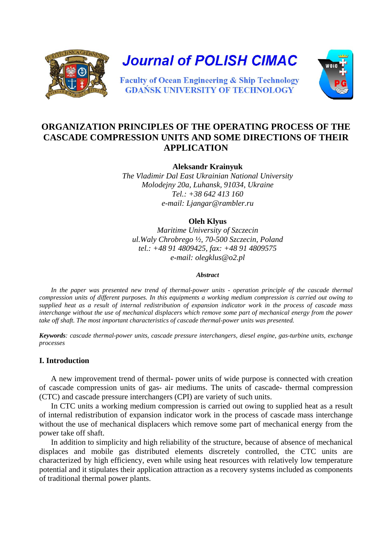

# **ORGANIZATION PRINCIPLES OF THE OPERATING PROCESS OF THE CASCADE COMPRESSION UNITS AND SOME DIRECTIONS OF THEIR APPLICATION**

**Aleksandr Krainyuk**

*The Vladimir Dal East Ukrainian National University Molodejny 20a, Luhansk, 91034, Ukraine Tel.: +38 642 413 160 e-mail: Ljangar@rambler.ru*

## **Oleh Klyus**

*Maritime University of Szczecin ul.Waly Chrobrego ½, 70-500 Szczecin, Poland tel.: +48 91 4809425, fax: +48 91 4809575 e-mail: olegklus@o2.pl* 

#### *Abstract*

In the paper was presented new trend of thermal-power units - operation principle of the cascade thermal *compression units of different purposes. In this equipments a working medium compression is carried out owing to supplied heat as a result of internal redistribution of expansion indicator work in the process of cascade mass interchange without the use of mechanical displacers which remove some part of mechanical energy from the power take off shaft. The most important characteristics of cascade thermal-power units was presented.*

*Keywords: cascade thermal-power units, cascade pressure interchangers, diesel engine, gas-turbine units, exchange processes*

### **I. Introduction**

A new improvement trend of thermal- power units of wide purpose is connected with creation of cascade compression units of gas- air mediums. The units of cascade- thermal compression (CTC) and cascade pressure interchangers (CPI) are variety of such units.

In CTC units a working medium compression is carried out owing to supplied heat as a result of internal redistribution of expansion indicator work in the process of cascade mass interchange without the use of mechanical displacers which remove some part of mechanical energy from the power take off shaft.

In addition to simplicity and high reliability of the structure, because of absence of mechanical displaces and mobile gas distributed elements discretely controlled, the CTC units are characterized by high efficiency, even while using heat resources with relatively low temperature potential and it stipulates their application attraction as a recovery systems included as components of traditional thermal power plants.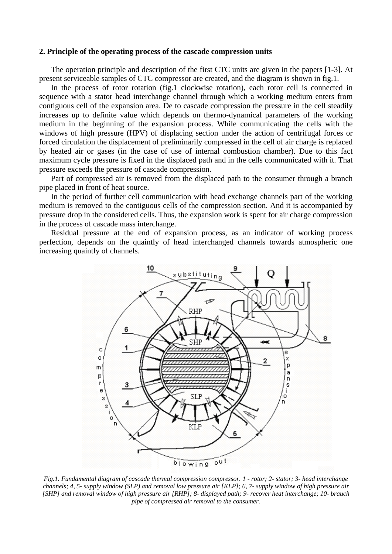#### **2. Principle of the operating process of the cascade compression units**

The operation principle and description of the first CTC units are given in the papers [1-3]. At present serviceable samples of CTC compressor are created, and the diagram is shown in fig.1.

In the process of rotor rotation (fig.1 clockwise rotation), each rotor cell is connected in sequence with a stator head interchange channel through which a working medium enters from contiguous cell of the expansion area. De to cascade compression the pressure in the cell steadily increases up to definite value which depends on thermo-dynamical parameters of the working medium in the beginning of the expansion process. While communicating the cells with the windows of high pressure (HPV) of displacing section under the action of centrifugal forces or forced circulation the displacement of preliminarily compressed in the cell of air charge is replaced by heated air or gases (in the case of use of internal combustion chamber). Due to this fact maximum cycle pressure is fixed in the displaced path and in the cells communicated with it. That pressure exceeds the pressure of cascade compression.

Part of compressed air is removed from the displaced path to the consumer through a branch pipe placed in front of heat source.

In the period of further cell communication with head exchange channels part of the working medium is removed to the contiguous cells of the compression section. And it is accompanied by pressure drop in the considered cells. Thus, the expansion work is spent for air charge compression in the process of cascade mass interchange.

Residual pressure at the end of expansion process, as an indicator of working process perfection, depends on the quaintly of head interchanged channels towards atmospheric one increasing quaintly of channels.



*Fig.1. Fundamental diagram of cascade thermal compression compressor. 1 - rotor; 2- stator; 3- head interchange channels; 4, 5- supply window (SLP) and removal low pressure air [KLP]; 6, 7- supply window of high pressure air [SHP] and removal window of high pressure air [RHP]; 8- displayed path; 9- recover heat interchange; 10- brauch pipe of compressed air removal to the consumer.*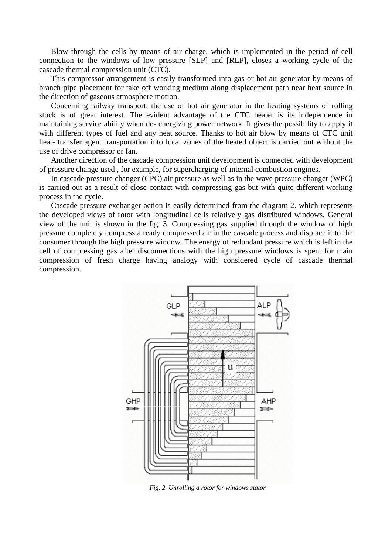Blow through the cells by means of air charge, which is implemented in the period of cell connection to the windows of low pressure [SLP] and [RLP], closes a working cycle of the cascade thermal compression unit (CTC).

This compressor arrangement is easily transformed into gas or hot air generator by means of branch pipe placement for take off working medium along displacement path near heat source in the direction of gaseous atmosphere motion.

Concerning railway transport, the use of hot air generator in the heating systems of rolling stock is of great interest. The evident advantage of the CTC heater is its independence in maintaining service ability when de- energizing power network. It gives the possibility to apply it with different types of fuel and any heat source. Thanks to hot air blow by means of CTC unit heat- transfer agent transportation into local zones of the heated object is carried out without the use of drive compressor or fan.

Another direction of the cascade compression unit development is connected with development of pressure change used , for example, for supercharging of internal combustion engines.

In cascade pressure changer (CPC) air pressure as well as in the wave pressure changer (WPC) is carried out as a result of close contact with compressing gas but with quite different working process in the cycle.

Cascade pressure exchanger action is easily determined from the diagram 2. which represents the developed views of rotor with longitudinal cells relatively gas distributed windows. General view of the unit is shown in the fig. 3. Compressing gas supplied through the window of high pressure completely compress already compressed air in the cascade process and displace it to the consumer through the high pressure window. The energy of redundant pressure which is left in the cell of compressing gas after disconnections with the high pressure windows is spent for main compression of fresh charge having analogy with considered cycle of cascade thermal compression.



*Fig. 2. Unrolling a rotor for windows stator*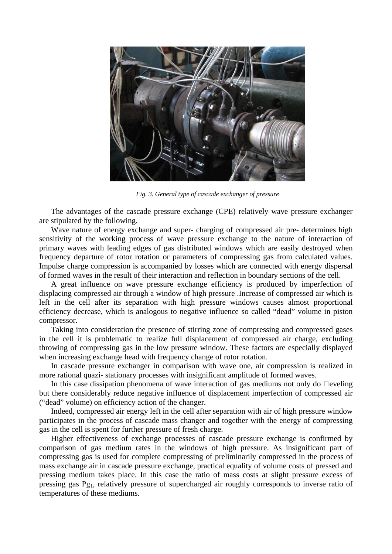

*Fig. 3. General type of cascade exchanger of pressure*

The advantages of the cascade pressure exchange (CPE) relatively wave pressure exchanger are stipulated by the following.

Wave nature of energy exchange and super- charging of compressed air pre- determines high sensitivity of the working process of wave pressure exchange to the nature of interaction of primary waves with leading edges of gas distributed windows which are easily destroyed when frequency departure of rotor rotation or parameters of compressing gas from calculated values. Impulse charge compression is accompanied by losses which are connected with energy dispersal of formed waves in the result of their interaction and reflection in boundary sections of the cell.

A great influence on wave pressure exchange efficiency is produced by imperfection of displacing compressed air through a window of high pressure .Increase of compressed air which is left in the cell after its separation with high pressure windows causes almost proportional efficiency decrease, which is analogous to negative influence so called "dead" volume in piston compressor.

Taking into consideration the presence of stirring zone of compressing and compressed gases in the cell it is problematic to realize full displacement of compressed air charge, excluding throwing of compressing gas in the low pressure window. These factors are especially displayed when increasing exchange head with frequency change of rotor rotation.

In cascade pressure exchanger in comparison with wave one, air compression is realized in more rational quazi- stationary processes with insignificant amplitude of formed waves.

In this case dissipation phenomena of wave interaction of gas mediums not only do  $\Box$ eveling but there considerably reduce negative influence of displacement imperfection of compressed air ("dead" volume) on efficiency action of the changer.

Indeed, compressed air energy left in the cell after separation with air of high pressure window participates in the process of cascade mass changer and together with the energy of compressing gas in the cell is spent for further pressure of fresh charge.

Higher effectiveness of exchange processes of cascade pressure exchange is confirmed by comparison of gas medium rates in the windows of high pressure. As insignificant part of compressing gas is used for complete compressing of preliminarily compressed in the process of mass exchange air in cascade pressure exchange, practical equality of volume costs of pressed and pressing medium takes place. In this case the ratio of mass costs at slight pressure excess of pressing gas  $Pg_1$ , relatively pressure of supercharged air roughly corresponds to inverse ratio of temperatures of these mediums.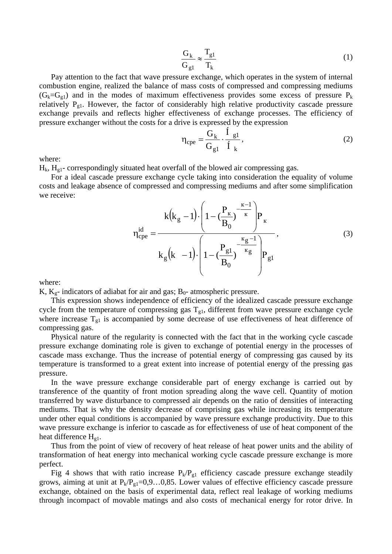$$
\frac{G_k}{G_{gl}} \approx \frac{T_{gl}}{T_k} \tag{1}
$$

Pay attention to the fact that wave pressure exchange, which operates in the system of internal combustion engine, realized the balance of mass costs of compressed and compressing mediums  $(G_k = G_{g1})$  and in the modes of maximum effectiveness provides some excess of pressure P<sub>k</sub> relatively  $P_{g1}$ . However, the factor of considerably high relative productivity cascade pressure exchange prevails and reflects higher effectiveness of exchange processes. The efficiency of pressure exchanger without the costs for a drive is expressed by the expression

$$
\eta_{\rm cpe} = \frac{G_k}{G_{gl}} \cdot \frac{\dot{I}_{gl}}{\dot{I}_k},\tag{2}
$$

where:

 $H_k$ ,  $H_{g1}$ - correspondingly situated heat overfall of the blowed air compressing gas.

For a ideal cascade pressure exchange cycle taking into consideration the equality of volume costs and leakage absence of compressed and compressing mediums and after some simplification we receive:

$$
n_{\rm cpe}^{\rm id} = \frac{k(k_{\rm g}-1) \cdot \left(1 - \left(\frac{P_{\rm K}}{B_0}\right)^{-\frac{\kappa-1}{\kappa}}\right) P_{\rm K}}{k_{\rm g}(k-1) \cdot \left(1 - \left(\frac{P_{\rm g1}}{B_0}\right)^{-\frac{\kappa_{\rm g}-1}{\kappa_{\rm g}}}\right) P_{\rm g1}},\tag{3}
$$

where:

K,  $K_{g}$ - indicators of adiabat for air and gas;  $B_{0}$ - atmospheric pressure.

This expression shows independence of efficiency of the idealized cascade pressure exchange cycle from the temperature of compressing gas  $T_{gl}$ , different from wave pressure exchange cycle where increase  $T_{g1}$  is accompanied by some decrease of use effectiveness of heat difference of compressing gas.

Physical nature of the regularity is connected with the fact that in the working cycle cascade pressure exchange dominating role is given to exchange of potential energy in the processes of cascade mass exchange. Thus the increase of potential energy of compressing gas caused by its temperature is transformed to a great extent into increase of potential energy of the pressing gas pressure.

In the wave pressure exchange considerable part of energy exchange is carried out by transference of the quantity of front motion spreading along the wave cell. Quantity of motion transferred by wave disturbance to compressed air depends on the ratio of densities of interacting mediums. That is why the density decrease of comprising gas while increasing its temperature under other equal conditions is accompanied by wave pressure exchange productivity. Due to this wave pressure exchange is inferior to cascade as for effectiveness of use of heat component of the heat difference  $H_{\sigma 1}$ .

Thus from the point of view of recovery of heat release of heat power units and the ability of transformation of heat energy into mechanical working cycle cascade pressure exchange is more perfect.

Fig 4 shows that with ratio increase  $P_k/P_{g1}$  efficiency cascade pressure exchange steadily grows, aiming at unit at  $P_k/P_{g1}=0,9...0,85$ . Lower values of effective efficiency cascade pressure exchange, obtained on the basis of experimental data, reflect real leakage of working mediums through incompact of movable matings and also costs of mechanical energy for rotor drive. In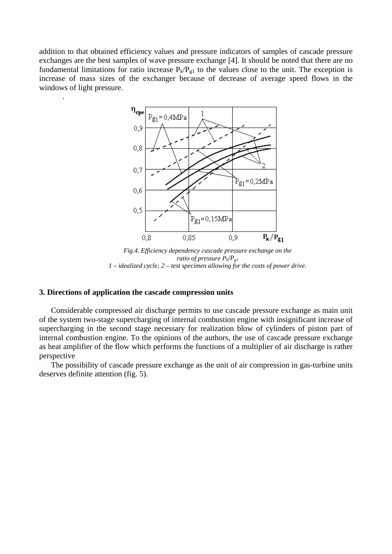addition to that obtained efficiency values and pressure indicators of samples of cascade pressure exchanges are the best samples of wave pressure exchange [4]. It should be noted that there are no fundamental limitations for ratio increase  $P_k/P_{g1}$  to the values close to the unit. The exception is increase of mass sizes of the exchanger because of decrease of average speed flows in the windows of light pressure.



*Fig.4. Efficiency dependency cascade pressure exchange on the ratio of pressure*  $P_k/P_{el}$ *1 – idealized cycle; 2 – test specimen allowing for the costs of power drive.*

# **3. Directions of application the cascade compression units**

.

Considerable compressed air discharge permits to use cascade pressure exchange as main unit of the system two-stage supercharging of internal combustion engine with insignificant increase of supercharging in the second stage necessary for realization blow of cylinders of piston part of internal combustion engine. To the opinions of the authors, the use of cascade pressure exchange as heat amplifier of the flow which performs the functions of a multiplier of air discharge is rather perspective

The possibility of cascade pressure exchange as the unit of air compression in gas-turbine units deserves definite attention (fig. 5).